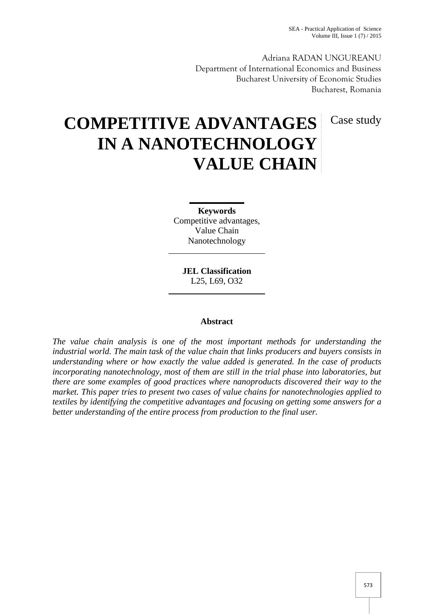Adriana RADAN UNGUREANU Department of International Economics and Business Bucharest University of Economic Studies Bucharest, Romania

# Case study

# **COMPETITIVE ADVANTAGES IN A NANOTECHNOLOGY VALUE CHAIN**

**Keywords** Competitive advantages, Value Chain Nanotechnology

**JEL Classification** L25, L69, O32

# **Abstract**

*The value chain analysis is one of the most important methods for understanding the industrial world. The main task of the value chain that links producers and buyers consists in understanding where or how exactly the value added is generated. In the case of products incorporating nanotechnology, most of them are still in the trial phase into laboratories, but there are some examples of good practices where nanoproducts discovered their way to the market. This paper tries to present two cases of value chains for nanotechnologies applied to textiles by identifying the competitive advantages and focusing on getting some answers for a better understanding of the entire process from production to the final user.*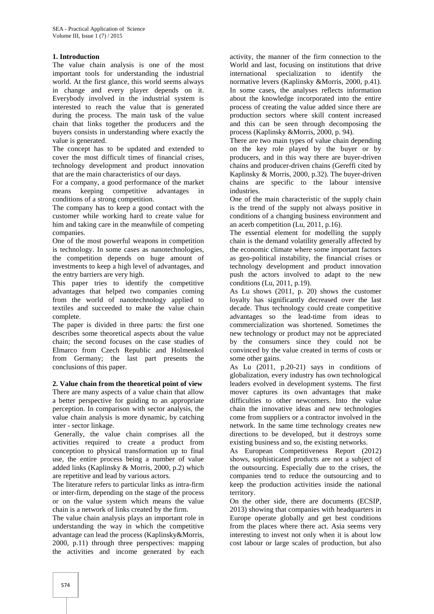### **1. Introduction**

The value chain analysis is one of the most important tools for understanding the industrial world. At the first glance, this world seems always in change and every player depends on it. Everybody involved in the industrial system is interested to reach the value that is generated during the process. The main task of the value chain that links together the producers and the buyers consists in understanding where exactly the value is generated.

The concept has to be updated and extended to cover the most difficult times of financial crises, technology development and product innovation that are the main characteristics of our days.

For a company, a good performance of the market means keeping competitive advantages in conditions of a strong competition.

The company has to keep a good contact with the customer while working hard to create value for him and taking care in the meanwhile of competing companies.

One of the most powerful weapons in competition is technology. In some cases as nanotechnologies, the competition depends on huge amount of investments to keep a high level of advantages, and the entry barriers are very high.

This paper tries to identify the competitive advantages that helped two companies coming from the world of nanotechnology applied to textiles and succeeded to make the value chain complete.

The paper is divided in three parts: the first one describes some theoretical aspects about the value chain; the second focuses on the case studies of Elmarco from Czech Republic and Holmenkol from Germany; the last part presents the conclusions of this paper.

**2. Value chain from the theoretical point of view** There are many aspects of a value chain that allow a better perspective for guiding to an appropriate perception. In comparison with sector analysis, the value chain analysis is more dynamic, by catching

inter - sector linkage. Generally, the value chain comprises all the activities required to create a product from conception to physical transformation up to final use, the entire process being a number of value added links (Kaplinsky & Morris, 2000, p.2) which are repetitive and lead by various actors.

The literature refers to particular links as intra-firm or inter-firm, depending on the stage of the process or on the value system which means the value chain is a network of links created by the firm.

The value chain analysis plays an important role in understanding the way in which the competitive advantage can lead the process (Kaplinsky&Morris, 2000, p.11) through three perspectives: mapping the activities and income generated by each

activity, the manner of the firm connection to the World and last, focusing on institutions that drive international specialization to identify the normative levers (Kaplinsky &Morris, 2000, p.41). In some cases, the analyses reflects information about the knowledge incorporated into the entire process of creating the value added since there are production sectors where skill content increased and this can be seen through decomposing the process (Kaplinsky &Morris, 2000, p. 94).

There are two main types of value chain depending on the key role played by the buyer or by producers, and in this way there are buyer-driven chains and producer-driven chains (Gereffi cited by Kaplinsky & Morris, 2000, p.32). The buyer-driven chains are specific to the labour intensive industries.

One of the main characteristic of the supply chain is the trend of the supply not always positive in conditions of a changing business environment and an acerb competition (Lu, 2011, p.16).

The essential element for modelling the supply chain is the demand volatility generally affected by the economic climate where some important factors as geo-political instability, the financial crises or technology development and product innovation push the actors involved to adapt to the new conditions (Lu, 2011, p.19).

As Lu shows (2011, p. 20) shows the customer loyalty has significantly decreased over the last decade. Thus technology could create competitive advantages so the lead-time from ideas to commercialization was shortened. Sometimes the new technology or product may not be appreciated by the consumers since they could not be convinced by the value created in terms of costs or some other gains.

As Lu (2011, p.20-21) says in conditions of globalization, every industry has own technological leaders evolved in development systems. The first mover captures its own advantages that make difficulties to other newcomers. Into the value chain the innovative ideas and new technologies come from suppliers or a contractor involved in the network. In the same time technology creates new directions to be developed, but it destroys some existing business and so, the existing networks.

As European Competitiveness Report (2012) shows, sophisticated products are not a subject of the outsourcing. Especially due to the crises, the companies tend to reduce the outsourcing and to keep the production activities inside the national territory.

On the other side, there are documents (ECSIP, 2013) showing that companies with headquarters in Europe operate globally and get best conditions from the places where there act. Asia seems very interesting to invest not only when it is about low cost labour or large scales of production, but also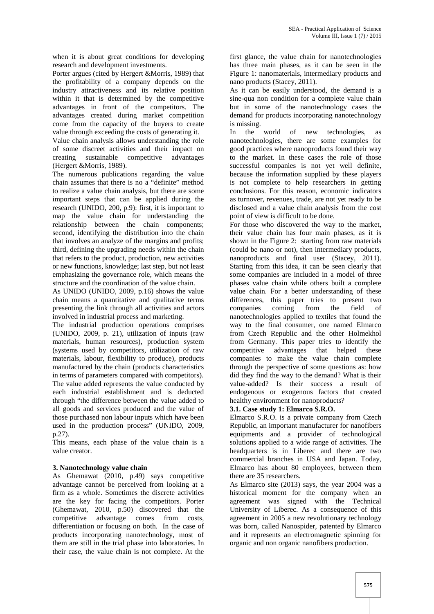when it is about great conditions for developing research and development investments.

Porter argues (cited by Hergert &Morris, 1989) that the profitability of a company depends on the industry attractiveness and its relative position within it that is determined by the competitive advantages in front of the competitors. The advantages created during market competition come from the capacity of the buyers to create value through exceeding the costs of generating it.

Value chain analysis allows understanding the role of some discreet activities and their impact on creating sustainable competitive advantages (Hergert &Morris, 1989).

The numerous publications regarding the value chain assumes that there is no a "definite" method to realize a value chain analysis, but there are some important steps that can be applied during the research (UNIDO, 200, p.9): first, it is important to map the value chain for understanding the relationship between the chain components; second, identifying the distribution into the chain that involves an analyze of the margins and profits; third, defining the upgrading needs within the chain that refers to the product, production, new activities or new functions, knowledge; last step, but not least emphasizing the governance role, which means the structure and the coordination of the value chain.

As UNIDO (UNIDO, 2009, p.16) shows the value chain means a quantitative and qualitative terms presenting the link through all activities and actors involved in industrial process and marketing.

The industrial production operations comprises (UNIDO, 2009, p. 21), utilization of inputs (raw materials, human resources), production system (systems used by competitors, utilization of raw materials, labour, flexibility to produce), products manufactured by the chain (products characteristics in terms of parameters compared with competitors). The value added represents the value conducted by each industrial establishment and is deducted through "the difference between the value added to all goods and services produced and the value of those purchased non labour inputs which have been used in the production process" (UNIDO, 2009, p.27).

This means, each phase of the value chain is a value creator.

#### **3. Nanotechnology value chain**

As Ghemawat (2010, p.49) says competitive advantage cannot be perceived from looking at a firm as a whole. Sometimes the discrete activities are the key for facing the competitors. Porter (Ghemawat, 2010, p.50) discovered that the competitive advantage comes from costs, differentiation or focusing on both. In the case of products incorporating nanotechnology, most of them are still in the trial phase into laboratories. In their case, the value chain is not complete. At the

first glance, the value chain for nanotechnologies has three main phases, as it can be seen in the Figure 1: nanomaterials, intermediary products and nano products (Stacey, 2011).

As it can be easily understood, the demand is a sine-qua non condition for a complete value chain but in some of the nanotechnology cases the demand for products incorporating nanotechnology is missing.

In the world of new technologies, as nanotechnologies, there are some examples for good practices where nanoproducts found their way to the market. In these cases the role of those successful companies is not yet well definite, because the information supplied by these players is not complete to help researchers in getting conclusions. For this reason, economic indicators as turnover, revenues, trade, are not yet ready to be disclosed and a value chain analysis from the cost point of view is difficult to be done.

For those who discovered the way to the market, their value chain has four main phases, as it is shown in the Figure 2: starting from raw materials (could be nano or not), then intermediary products, nanoproducts and final user (Stacey, 2011). Starting from this idea, it can be seen clearly that some companies are included in a model of three phases value chain while others built a complete value chain. For a better understanding of these differences, this paper tries to present two companies coming from the field of nanotechnologies applied to textiles that found the way to the final consumer, one named Elmarco from Czech Republic and the other Holmekhol from Germany. This paper tries to identify the competitive advantages that helped these companies to make the value chain complete through the perspective of some questions as: how did they find the way to the demand? What is their value-added? Is their success a result of endogenous or exogenous factors that created healthy environment for nanoproducts?

#### **3.1. Case study 1: Elmarco S.R.O.**

Elmarco S.R.O. is a private company from Czech Republic, an important manufacturer for nanofibers equipments and a provider of technological solutions applied to a wide range of activities. The headquarters is in Liberec and there are two commercial branches in USA and Japan. Today, Elmarco has about 80 employees, between them there are 35 researchers.

As Elmarco site (2013) says, the year 2004 was a historical moment for the company when an agreement was signed with the Technical University of Liberec. As a consequence of this agreement in 2005 a new revolutionary technology was born, called Nanospider, patented by Elmarco and it represents an electromagnetic spinning for organic and non organic nanofibers production.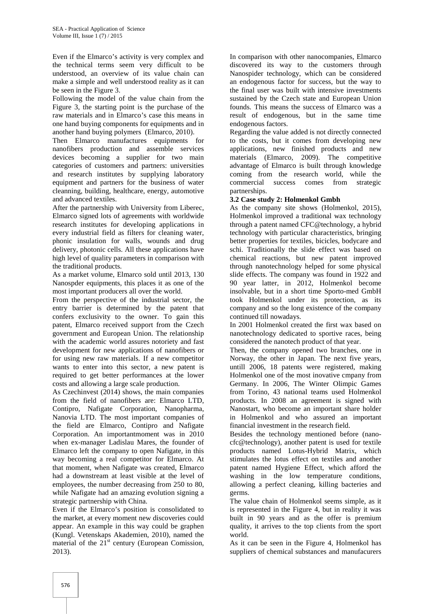Even if the Elmarco's activity is very complex and the technical terms seem very difficult to be understood, an overview of its value chain can make a simple and well understood reality as it can be seen in the Figure 3.

Following the model of the value chain from the Figure 3, the starting point is the purchase of the raw materials and in Elmarco's case this means in one hand buying components for equipments and in another hand buying polymers (Elmarco, 2010).

Then Elmarco manufactures equipments for nanofibers production and assemble services devices becoming a supplier for two main categories of customers and partners: universities and research institutes by supplying laboratory equipment and partners for the business of water cleanning, building, healthcare, energy, automotive and advanced textiles.

After the partnership with University from Liberec, Elmarco signed lots of agreements with worldwide research institutes for developing applications in every industrial field as filters for cleaning water, phonic insulation for walls, wounds and drug delivery, photonic cells. All these applications have high level of quality parameters in comparison with the traditional products.

As a market volume, Elmarco sold until 2013, 130 Nanospder equipments, this places it as one of the most important producers all over the world.

From the perspective of the industrial sector, the entry barrier is determined by the patent that confers exclusivity to the owner. To gain this patent, Elmarco received support from the Czech government and European Union. The relationship with the academic world assures notoriety and fast development for new applications of nanofibers or for using new raw materials. If a new competitor wants to enter into this sector, a new patent is required to get better performances at the lower costs and allowing a large scale production.

As Czechinvest (2014) shows, the main companies from the field of nanofibers are: Elmarco LTD, Contipro, Nafigate Corporation, Nanopharma, Nanovia LTD. The most important companies of the field are Elmarco, Contipro and Nafigate Corporation. An importantmoment was in 2010 when ex-manager Ladislau Mares, the founder of Elmarco left the company to open Nafigate, in this way becoming a real competitor for Elmarco. At that moment, when Nafigate was created, Elmarco had a downstream at least visible at the level of employees, the number decreasing from 250 to 80, while Nafigate had an amazing evolution signing a strategic partnership with China.

Even if the Elmarco's position is consolidated to the market, at every moment new discoveries could appear. An example in this way could be graphen (Kungl. Vetenskaps Akademien, 2010), named the material of the  $21<sup>st</sup>$  century (European Comission, 2013).

In comparison with other nanocompanies, Elmarco discovered its way to the customers through Nanospider technology, which can be considered an endogenous factor for success, but the way to the final user was built with intensive investments sustained by the Czech state and European Union founds. This means the success of Elmarco was a result of endogenous, but in the same time endogenous factors.

Regarding the value added is not directly connected to the costs, but it comes from developing new applications, new finished products and new materials (Elmarco, 2009). The competitive advantage of Elmarco is built through knowledge coming from the research world, while the commercial success comes from strategic partnerships.

### **3.2 Case study 2: Holmenkol Gmbh**

As the company site shows (Holmenkol, 2015), Holmenkol improved a traditional wax technology through a patent named CFC@technology, a hybrid technology with particular characteristics, bringing better properties for textiles, bicicles, bodycare and schi. Traditionally the slide effect was based on chemical reactions, but new patent improved through nanotechnology helped for some physical slide effects. The company was found in 1922 and 90 year latter, in 2012, Holmenkol become insolvable, but in a short time Sporto-med GmbH took Holmenkol under its protection, as its company and so the long existence of the company continued till nowadays.

In 2001 Holmenkol created the first wax based on nanotechnology dedicated to sportive races, being considered the nanotech product of that year.

Then, the company opened two branches, one in Norway, the other in Japan. The next five years, untill 2006, 18 patents were registered, making Holmenkol one of the most inovative cmpany from Germany. In 2006, The Winter Olimpic Games from Torino, 43 national teams used Holmenkol products. In 2008 an agreement is signed with Nanostart, who become an important share holder in Holmenkol and who assured an important financial investment in the research field.

Besides the technology mentioned before (nano cfc@technology), another patent is used for textile products named Lotus-Hybrid Matrix, which stimulates the lotus effect on textiles and another patent named Hygiene Effect, which afford the washing in the low temperature conditions, allowing a perfect cleaning, killing bacteries and germs.

The value chain of Holmenkol seems simple, as it is represented in the Figure 4, but in reality it was built in 90 years and as the offer is premium quality, it arrives to the top clients from the sport world.

As it can be seen in the Figure 4, Holmenkol has suppliers of chemical substances and manufacurers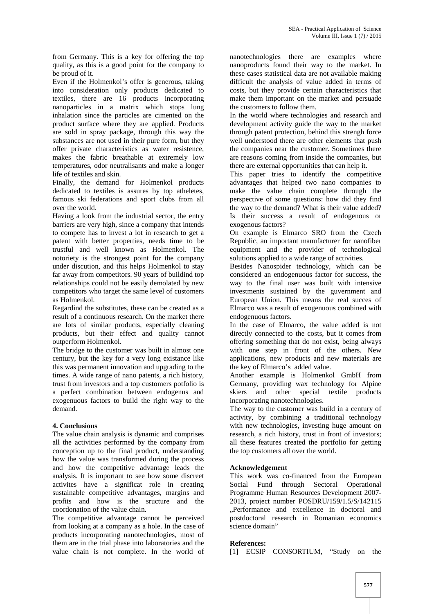from Germany. This is a key for offering the top quality, as this is a good point for the company to be proud of it.

Even if the Holmenkol's offer is generous, taking into consideration only products dedicated to textiles, there are 16 products incorporating nanoparticles in a matrix which stops lung inhalation since the particles are cimented on the product surface where they are applied. Products are sold in spray package, through this way the substances are not used in their pure form, but they offer private characteristics as water resistence, makes the fabric breathable at extremely low temperatures, odor neutralisants and make a longer life of textiles and skin.

Finally, the demand for Holmenkol products dedicated to textiles is assures by top atheletes, famous ski federations and sport clubs from all over the world.

Having a look from the industrial sector, the entry barriers are very high, since a company that intends to compete has to invest a lot in research to get a patent with better properties, needs time to be trustful and well known as Holmenkol. The notoriety is the strongest point for the company under discution, and this helps Holmenkol to stay far away from competitors. 90 years of buildind top relationships could not be easily demolated by new competitors who target the same level of customers as Holmenkol.

Regardind the substitutes, these can be created as a result of a continuous research. On the market there are lots of similar products, especially cleaning products, but their effect and quality cannot outperform Holmenkol.

The bridge to the customer was built in almost one century, but the key for a very long existance like this was permanent innovation and upgrading to the times. A wide range of nano patents, a rich history, trust from investors and a top customers potfolio is a perfect combination between endogenus and exogenuous factors to build the right way to the demand.

# **4. Conclusions**

The value chain analysis is dynamic and comprises all the activities performed by the company from conception up to the final product, understanding how the value was transformed during the process and how the competitive advantage leads the analysis. It is important to see how some discreet activites have a significat role in creating sustainable competitive advantages, margins and profits and how is the sructure and the coordonation of the value chain.

The competitive advantage cannot be perceived from looking at a company as a hole. In the case of products incorporating nanotechnologies, most of them are in the trial phase into laboratories and the value chain is not complete. In the world of

nanotechnologies there are examples where nanoproducts found their way to the market. In these cases statistical data are not available making difficult the analysis of value added in terms of costs, but they provide certain characteristics that make them important on the market and persuade the customers to follow them.

In the world where technologies and research and development activity guide the way to the market through patent protection, behind this strengh force well understood there are other elements that push the companies near the customer. Sometimes there are reasons coming from inside the companies, but there are external opportunities that can help it.

This paper tries to identify the competitive advantages that helped two nano companies to make the value chain complete through the perspective of some questions: how did they find the way to the demand? What is their value added? Is their success a result of endogenous or exogenous factors?

On example is Elmarco SRO from the Czech Republic, an important manufacturer for nanofiber equipment and the provider of technological solutions applied to a wide range of activities.

Besides Nanospider technology, which can be considered an endogenuous factor for success, the way to the final user was built with intensive investments sustained by the guvernment and European Union. This means the real succes of Elmarco was a result of exogenuous combined with endogenuous factors.

In the case of Elmarco, the value added is not directly connected to the costs, but it comes from offering something that do not exist, being always with one step in front of the others. New applications, new products and new materials are the key of Elmarco's added value.

Another example is Holmenkol GmbH from Germany, providing wax technology for Alpine skiers and other special textile products incorporating nanotechnologies.

The way to the customer was build in a century of activity, by combining a traditional technology with new technologies, investing huge amount on research, a rich history, trust in front of investors; all these features created the portfolio for getting the top customers all over the world.

#### **Acknowledgement**

This work was co-financed from the European Social Fund through Sectoral Operational Programme Human Resources Development 2007- 2013, project number POSDRU/159/1.5/S/142115 ..Performance and excellence in doctoral and postdoctoral research in Romanian economics science domain"

#### **References:**

[1] ECSIP CONSORTIUM, "Study on the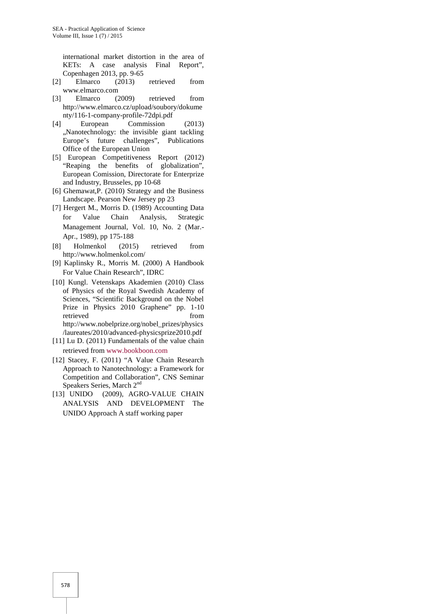international market distortion in the area of KETs: A case analysis Final Report", Copenhagen 2013, pp. 9-65

- [2] Elmarco (2013) retrieved from www.elmarco.com
- [3] Elmarco (2009) retrieved from http://www.elmarco.cz/upload/soubory/dokume nty/116-1-company-profile-72dpi.pdf
- [4] European Commission (2013) ,,Nanotechnology: the invisible giant tackling Europe's future challenges", Publications Office of the European Union
- [5] European Competitiveness Report (2012) "Reaping the benefits of globalization", European Comission, Directorate for Enterprize and Industry, Brusseles, pp 10-68
- [6] Ghemawat,P. (2010) Strategy and the Business Landscape. Pearson New Jersey pp 23
- [7] Hergert M., Morris D. (1989) Accounting Data for Value Chain Analysis, Strategic Management Journal, Vol. 10, No. 2 (Mar.- Apr., 1989), pp 175-188
- [8] Holmenkol (2015) retrieved from http://www.holmenkol.com/
- [9] Kaplinsky R., Morris M. (2000) A Handbook For Value Chain Research", IDRC
- [10] Kungl. Vetenskaps Akademien (2010) Class of Physics of the Royal Swedish Academy of Sciences, "Scientific Background on the Nobel Prize in Physics 2010 Graphene" pp. 1-10 retrieved from http://www.nobelprize.org/nobel\_prizes/physics /laureates/2010/advanced-physicsprize2010.pdf
- [11] Lu D. (2011) Fundamentals of the value chain retrieved from www.bookboon.com
- [12] Stacey, F. (2011) "A Value Chain Research Approach to Nanotechnology: a Framework for Competition and Collaboration", CNS Seminar Speakers Series, March 2<sup>nd</sup>
- [13] UNIDO (2009), AGRO-VALUE CHAIN ANALYSIS AND DEVELOPMENT The UNIDO Approach A staff working paper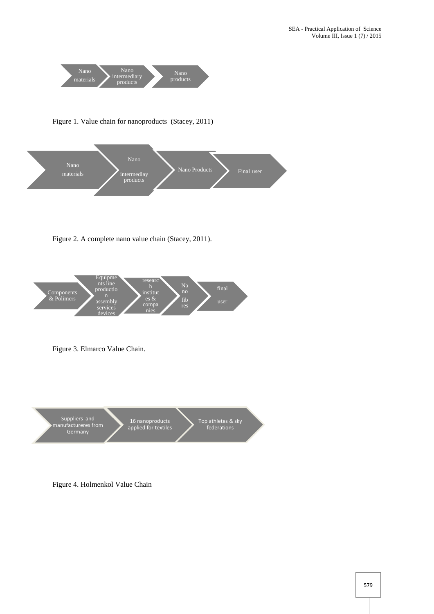

Figure 1. Value chain for nanoproducts (Stacey, 2011)



Figure 2. A complete nano value chain (Stacey, 2011).





Figure 4. Holmenkol Value Chain